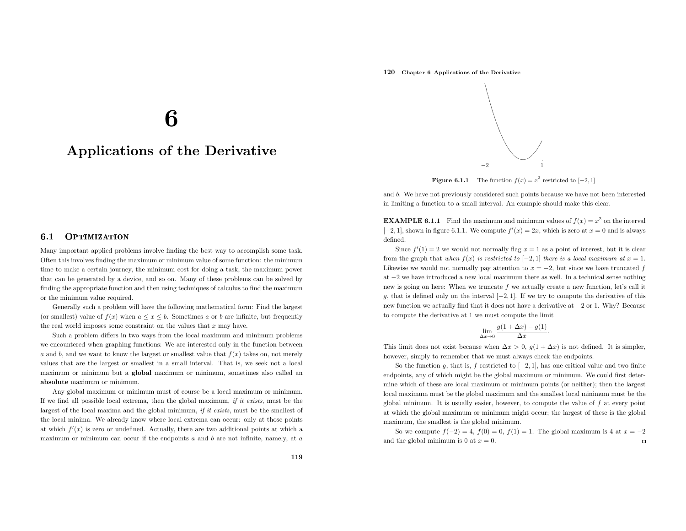120 Chapter <sup>6</sup> Applications of the Derivative

# 6Applications of the Derivative

#### 6.1**OPTIMIZATION**

Many important applied problems involve finding the best way to accomplish some task. Often this involves finding the maximum or minimum value of some function: the minimum time to make <sup>a</sup> certain journey, the minimum cost for doing <sup>a</sup> task, the maximum power that can be generated by <sup>a</sup> device, and so on. Many of these problems can be solved by finding the appropriate function and then using techniques of calculus to find the maximumor the minimum value required.

Generally such <sup>a</sup> problem will have the following mathematical form: Find the largest (or smallest) value of  $f(x)$  when  $a \le x \le b$ . Sometimes a or b are infinite, but frequently the real world imposes some constraint on the values that  $x$  may have.

Such <sup>a</sup> problem differs in two ways from the local maximum and minimum problems we encountered when graphing functions: We are interested only in the function betweena and b, and we want to know the largest or smallest value that  $f(x)$  takes on, not merely values that are the largest or smallest in <sup>a</sup> small interval. That is, we seek not <sup>a</sup> local maximum or minimum but <sup>a</sup> <sup>g</sup>lobal maximum or minimum, sometimes also called anabsolute maximum or minimum.

Any <sup>g</sup>lobal maximum or minimum must of course be <sup>a</sup> local maximum or minimum. If we find all possible local extrema, then the global maximum, if it exists, must be the largest of the local maxima and the <sup>g</sup>lobal minimum, if it exists, must be the smallest of the local minima. We already know where local extrema can occur: only at those points at which  $f'(x)$  is zero or undefined. Actually, there are two additional points at which a maximum or minimum can occur if the endpoints  $a$  and  $b$  are not infinite, namely, at  $a$ 



**Figure 6.1.1** The function  $f(x) = x^2$  restricted to  $[-2, 1]$ 

and <sup>b</sup>. We have not previously considered such points because we have not been interested in limiting <sup>a</sup> function to <sup>a</sup> small interval. An example should make this clear.

**EXAMPLE 6.1.1** Find the maximum and minimum values of  $f(x) = x^2$  on the interval  $[-2, 1]$ , shown in figure 6.1.1. We compute  $f'(x) = 2x$ , which is zero at  $x = 0$  and is always defined.

Since  $f'(1) = 2$  we would not normally flag  $x = 1$  as a point of interest, but it is clear from the graph that when  $f(x)$  is restricted to  $[-2, 1]$  there is a local maximum at  $x = 1$ . Likewise we would not normally pay attention to  $x = -2$ , but since we have truncated f at <sup>−</sup><sup>2</sup> we have introduced <sup>a</sup> new local maximum there as well. In <sup>a</sup> technical sense nothing new is going on here: When we truncate  $f$  we actually create a new function, let's call it g, that is defined only on the interval  $[-2, 1]$ . If we try to compute the derivative of this new function we actually find that it does not have <sup>a</sup> derivative at <sup>−</sup><sup>2</sup> or 1. Why? Because to compute the derivative at <sup>1</sup> we must compute the limit

$$
\lim_{\Delta x \to 0} \frac{g(1 + \Delta x) - g(1)}{\Delta x}.
$$

This limit does not exist because when  $\Delta x > 0$ ,  $g(1 + \Delta x)$  is not defined. It is simpler, however, simply to remember that we must always check the endpoints.

So the function g, that is, f restricted to  $[-2, 1]$ , has one critical value and two finite endpoints, any of which might be the <sup>g</sup>lobal maximum or minimum. We could first determine which of these are local maximum or minimum points (or neither); then the largest local maximum must be the <sup>g</sup>lobal maximum and the smallest local minimum must be the <sup>g</sup>lobal minimum. It is usually easier, however, to compute the value of f at every point at which the <sup>g</sup>lobal maximum or minimum might occur; the largest of these is the <sup>g</sup>lobal maximum, the smallest is the <sup>g</sup>lobal minimum.

So we compute  $f(-2) = 4$ ,  $f(0) = 0$ ,  $f(1) = 1$ . The global maximum is 4 at  $x = -2$ and the global minimum is  $0$  at  $x = 0$ .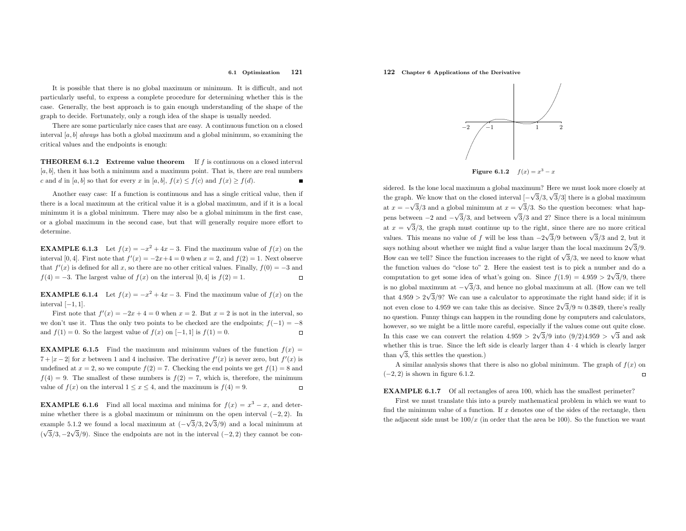122 Chapter <sup>6</sup> Applications of the Derivative

#### 6.1 Optimization<sup>121</sup>

It is possible that there is no <sup>g</sup>lobal maximum or minimum. It is difficult, and not particularly useful, to express <sup>a</sup> complete procedure for determining whether this is the case. Generally, the best approac<sup>h</sup> is to gain enoug<sup>h</sup> understanding of the shape of the grap<sup>h</sup> to decide. Fortunately, only <sup>a</sup> roug<sup>h</sup> idea of the shape is usually needed.

There are some particularly nice cases that are easy. <sup>A</sup> continuous function on <sup>a</sup> closedinterval  $[a, b]$  always has both a global maximum and a global minimum, so examining the critical values and the endpoints is enough:

**THEOREM 6.1.2** Extreme value theorem If  $f$  is continuous on a closed interval  $[a, b]$ , then it has both a minimum and a maximum point. That is, there are real numbers c and d in [a, b] so that for every x in [a, b],  $f(x) \le f(c)$  and  $f(x) \ge f(d)$ .

Another easy case: If <sup>a</sup> function is continuous and has <sup>a</sup> single critical value, then if there is <sup>a</sup> local maximum at the critical value it is <sup>a</sup> <sup>g</sup>lobal maximum, and if it is <sup>a</sup> local minimum it is <sup>a</sup> <sup>g</sup>lobal minimum. There may also be <sup>a</sup> <sup>g</sup>lobal minimum in the first case, or <sup>a</sup> <sup>g</sup>lobal maximum in the second case, but that will generally require more effort to determine.

**EXAMPLE 6.1.3** Let  $f(x) = -x^2 + 4x - 3$ . Find the maximum value of  $f(x)$  on the interval [0, 4]. First note that  $f'(x) = -2x+4 = 0$  when  $x = 2$ , and  $f(2) = 1$ . Next observe that  $f'(x)$  is defined for all x, so there are no other critical values. Finally,  $f(0) = -3$  and  $f(4) = -3$ . The largest value of  $f(x)$  on the interval  $[0, 4]$  is  $f(2) = 1$ .  $\Box$ 

**EXAMPLE 6.1.4** Let  $f(x) = -x^2 + 4x - 3$ . Find the maximum value of  $f(x)$  on the interval  $[-1, 1]$ .

First note that  $f'(x) = -2x + 4 = 0$  when  $x = 2$ . But  $x = 2$  is not in the interval, so we don't use it. Thus the only two points to be checked are the endpoints;  $f(-1) = -8$  $\Box$ and  $f(1) = 0$ . So the largest value of  $f(x)$  on  $[-1, 1]$  is  $f(1) = 0$ .

**EXAMPLE 6.1.5** Find the maximum and minimum values of the function  $f(x) =$  $7 + |x - 2|$  for x between 1 and 4 inclusive. The derivative  $f'(x)$  is never zero, but  $f'(x)$  is undefined at  $x = 2$ , so we compute  $f(2) = 7$ . Checking the end points we get  $f(1) = 8$  and  $f(4) = 9$ . The smallest of these numbers is  $f(2) = 7$ , which is, therefore, the minimum  $\Box$ value of  $f(x)$  on the interval  $1 \le x \le 4$ , and the maximum is  $f(4) = 9$ .

**EXAMPLE 6.1.6** Find all local maxima and minima for  $f(x) = x^3 - x$ , and deter- $= x$ mine whether there is a global maximum or minimum on the open interval  $(-2, 2)$ . In example 5.1.2 we found a local maximum at  $(-\sqrt{3}/3, 2\sqrt{3}/9)$  and a local minimum at  $(\sqrt{3}/3, -2\sqrt{3}/9)$ . Since the endpoints are not in the interval  $(-2, 2)$  they cannot be con-



**Figure 6.1.2**  $f(x) = x^3 - x$ 

sidered. Is the lone local maximum <sup>a</sup> <sup>g</sup>lobal maximum? Here we must look more closely at the graph. We know that on the closed interval  $[-\sqrt{3}/3, \sqrt{3}/3]$  there is a global maximum at  $x = -\sqrt{3}/3$  and a global minimum at  $x = \sqrt{3}/3$ . So the question becomes: what happens between  $-2$  and  $-\sqrt{3}/3$ , and between  $\sqrt{3}/3$  and 2? Since there is a local minimum at  $x = \sqrt{3}/3$ , the graph must continue up to the right, since there are no more critical values. This means no value of f will be less than  $-2\sqrt{3}/9$  between  $\sqrt{3}/3$  and 2, but it says nothing about whether we might find a value larger than the local maximum  $2\sqrt{3}/9$ . How can we tell? Since the function increases to the right of  $\sqrt{3}/3$ , we need to know what the function values do "close to" 2. Here the easiest test is to <sup>p</sup>ick <sup>a</sup> number and do <sup>a</sup> computation to get some idea of what's going on. Since  $f(1.9) = 4.959 > 2\sqrt{3}/9$ , there is no global maximum at  $-\sqrt{3}/3$ , and hence no global maximum at all. (How can we tell that  $4.959 > 2\sqrt{3}/9$ ? We can use a calculator to approximate the right hand side; if it is not even close to 4.959 we can take this as decisive. Since  $2\sqrt{3}/9 \approx 0.3849$ , there's really no question. Funny things can happen in the rounding done by computers and calculators, however, so we might be <sup>a</sup> little more careful, especially if the values come out quite close. In this case we can convert the relation  $4.959 > 2\sqrt{3}/9$  into  $(9/2)4.959 > \sqrt{3}$  and ask whether this is true. Since the left side is clearly larger than <sup>4</sup> · <sup>4</sup> which is clearly larger than  $\sqrt{3}$ , this settles the question.)

A similar analysis shows that there is also no global minimum. The graph of  $f(x)$  on  $\Box$  $(-2, 2)$  is shown in figure 6.1.2.

EXAMPLE 6.1.7 Of all rectangles of area 100, which has the smallest perimeter?

First we must translate this into <sup>a</sup> purely mathematical problem in which we want to find the minimum value of a function. If  $x$  denotes one of the sides of the rectangle, then the adjacent side must be  $100/x$  (in order that the area be 100). So the function we want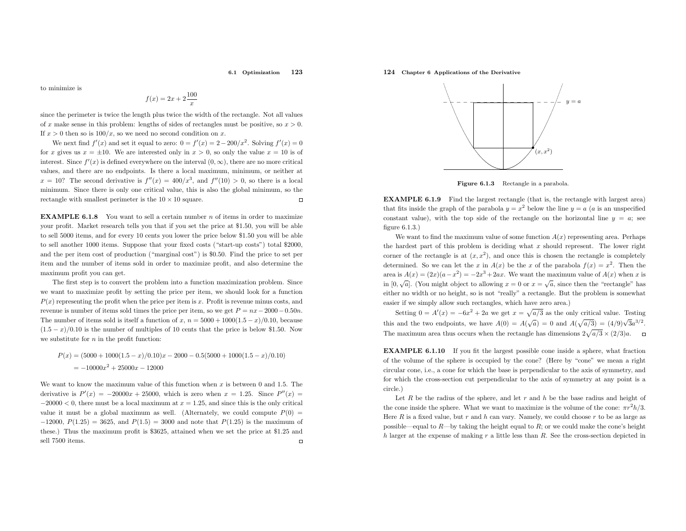to minimize is

$$
f(x) = 2x + 2\frac{100}{x}
$$

since the perimeter is twice the length <sup>p</sup>lus twice the width of the rectangle. Not all values of x make sense in this problem: lengths of sides of rectangles must be positive, so  $x > 0$ . If  $x > 0$  then so is  $100/x$ , so we need no second condition on x.

We next find  $f'(x)$  and set it equal to zero:  $0 = f'(x) = 2 - 200/x^2$ . Solving  $f'(x) = 0$ for x gives us  $x = \pm 10$ . We are interested only in  $x > 0$ , so only the value  $x = 10$  is of interest. Since  $f'(x)$  is defined everywhere on the interval  $(0, \infty)$ , there are no more critical values, and there are no endpoints. Is there <sup>a</sup> local maximum, minimum, or neither at  $x = 10$ ? The second derivative is  $f''(x) = 400/x^3$ , and  $f''(10) > 0$ , so there is a local minimum. Since there is only one critical value, this is also the <sup>g</sup>lobal minimum, so the  $\Box$ rectangle with smallest perimeter is the  $10 \times 10$  square.

**EXAMPLE 6.1.8** You want to sell a certain number  $n$  of items in order to maximize your profit. Market research tells you that if you set the price at \$1.50, you will be able to sell <sup>5000</sup> items, and for every <sup>10</sup> cents you lower the price below \$1.50 you will be able to sell another <sup>1000</sup> items. Suppose that your fixed costs ("start-up costs") total \$2000, and the per item cost of production ("marginal cost") is \$0.50. Find the price to set per item and the number of items sold in order to maximize profit, and also determine the maximum profit you can get.

The first step is to convert the problem into <sup>a</sup> function maximization problem. Since we want to maximize profit by setting the price per item, we should look for <sup>a</sup> function $P(x)$  representing the profit when the price per item is x. Profit is revenue minus costs, and revenue is number of items sold times the price per item, so we get  $P = nx - 2000 - 0.50n$ . The number of items sold is itself a function of  $x, n = 5000 + 1000(1.5 - x)/0.10$ , because  $(1.5 - x)/0.10$  is the number of multiples of 10 cents that the price is below \$1.50. Now we substitute for  $n$  in the profit function:

 $P(x) = (5000 + 1000(1.5 - x)/0.10)x - 2000 - 0.5(5000 + 1000(1.5 - x)/0.10)$  $=-10000x^{2} + 25000x - 12000$ 

We want to know the maximum value of this function when  $x$  is between 0 and 1.5. The derivative is  $P'(x) = -20000x + 25000$ , which is zero when  $x = 1.25$ . Since  $P''(x) =$  $-20000 < 0$ , there must be a local maximum at  $x = 1.25$ , and since this is the only critical value it must be a global maximum as well. (Alternately, we could compute  $P(0)$  =  $-12000, P(1.25) = 3625, \text{ and } P(1.5) = 3000 \text{ and note that } P(1.25) \text{ is the maximum of }$  these.) Thus the maximum profit is \$3625, attained when we set the price at \$1.25 and $\Box$ sell <sup>7500</sup> items.

124 Chapter <sup>6</sup> Applications of the Derivative



**Figure 6.1.3** Rectangle in a parabola.

EXAMPLE 6.1.9 Find the largest rectangle (that is, the rectangle with largest area) that fits inside the graph of the parabola  $y = x^2$  below the line  $y = a$  (a is an unspecified constant value), with the top side of the rectangle on the horizontal line  $y = a$ ; see figure 6.1.3.)

We want to find the maximum value of some function  $A(x)$  representing area. Perhaps the hardest part of this problem is deciding what  $x$  should represent. The lower right corner of the rectangle is at  $(x, x^2)$ , and once this is chosen the rectangle is completely determined. So we can let the x in  $A(x)$  be the x of the parabola  $f(x) = x^2$ . Then the area is  $A(x) = (2x)(a - x^2) = -2x^3 + 2ax$ . We want the maximum value of  $A(x)$  when x is in [0,  $\sqrt{a}$ ]. (You might object to allowing  $x = 0$  or  $x = \sqrt{a}$ , since then the "rectangle" has either no width or no height, so is not "really" <sup>a</sup> rectangle. But the problem is somewhat easier if we simply allow such rectangles, which have zero area.)

Setting  $0 = A'(x) = -6x^2 + 2a$  we get  $x = \sqrt{a/3}$  as the only critical value. Testing this and the two endpoints, we have  $A(0) = A(\sqrt{a}) = 0$  and  $A(\sqrt{a/3}) = (4/9)\sqrt{3}a^{3/2}$ . The maximum area thus occurs when the rectangle has dimensions  $2\sqrt{a/3} \times (2/3)a$ .

EXAMPLE 6.1.10 If you fit the largest possible cone inside <sup>a</sup> sphere, what fraction of the volume of the sphere is occupied by the cone? (Here by "cone" we mean <sup>a</sup> right circular cone, i.e., <sup>a</sup> cone for which the base is perpendicular to the axis of symmetry, and for which the cross-section cut perpendicular to the axis of symmetry at any point is <sup>a</sup> circle.)

Let R be the radius of the sphere, and let r and h be the base radius and height of the cone inside the sphere. What we want to maximize is the volume of the cone:  $\pi r^2 h/3$ . Here R is a fixed value, but r and h can vary. Namely, we could choose r to be as large as possible—equal to  $R$ —by taking the height equal to  $R$ ; or we could make the cone's height h larger at the expense of making <sup>r</sup> <sup>a</sup> little less than <sup>R</sup>. See the cross-section depicted in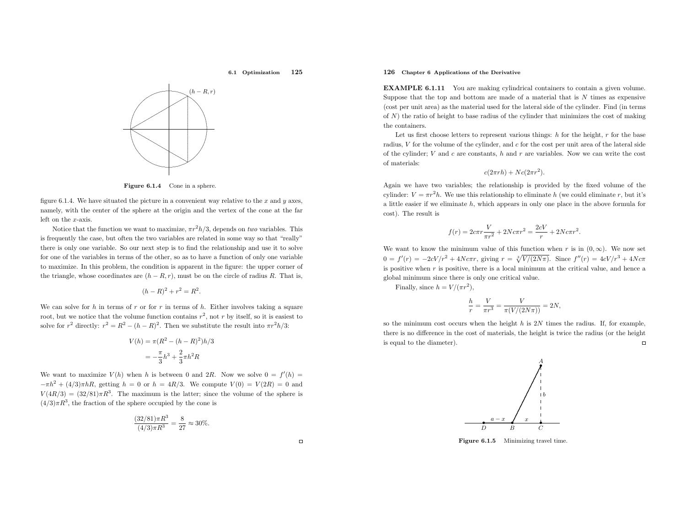

**Figure 6.1.4** Cone in a sphere.

figure 6.1.4. We have situated the picture in a convenient way relative to the  $x$  and  $y$  axes, namely, with the center of the sphere at the origin and the vertex of the cone at the far left on the <sup>x</sup>-axis.

Notice that the function we want to maximize,  $\pi r^2 h/3$ , depends on *two* variables. This is frequently the case, but often the two variables are related in some way so that "really" there is only one variable. So our next step is to find the relationship and use it to solve for one of the variables in terms of the other, so as to have <sup>a</sup> function of only one variable to maximize. In this problem, the condition is apparent in the figure: the upper corner of the triangle, whose coordinates are  $(h - R, r)$ , must be on the circle of radius R. That is,

$$
(h - R)^2 + r^2 = R^2
$$

We can solve for h in terms of r or for r in terms of h. Either involves taking a square root, but we notice that the volume function contains  $r^2$ , not r by itself, so it is easiest to solve for  $r^2$  directly:  $r^2 = R^2 - (h - R)^2$ . Then we substitute the result into  $\pi r^2 h/3$ :

$$
V(h) = \pi (R^2 - (h - R)^2)h/3
$$

$$
= -\frac{\pi}{3}h^3 + \frac{2}{3}\pi h^2 R
$$

We want to maximize  $V(h)$  when h is between 0 and 2R. Now we solve  $0 = f'(h) =$  $-\pi h^2 + (4/3)\pi hR$ , getting  $h = 0$  or  $h = 4R/3$ . We compute  $V(0) = V(2R) = 0$  and  $V(4R/3) = (32/81)\pi R^3$ . The maximum is the latter; since the volume of the sphere is  $(4/3)\pi R^3$ , the fraction of the sphere occupied by the cone is

$$
\frac{(32/81)\pi R^3}{(4/3)\pi R^3} = \frac{8}{27} \approx 30\%.
$$

# 126 Chapter <sup>6</sup> Applications of the Derivative

EXAMPLE 6.1.11 You are making cylindrical containers to contain <sup>a</sup> <sup>g</sup>iven volume. Suppose that the top and bottom are made of a material that is  $N$  times as expensive (cost per unit area) as the material used for the lateral side of the cylinder. Find (in terms of  $N$ ) the ratio of height to base radius of the cylinder that minimizes the cost of making the containers.

Let us first choose letters to represent various things:  $h$  for the height,  $r$  for the base radius,  $V$  for the volume of the cylinder, and  $c$  for the cost per unit area of the lateral side of the cylinder;  $V$  and  $c$  are constants,  $h$  and  $r$  are variables. Now we can write the cost of materials:

$$
c(2\pi rh) + Nc(2\pi r^2).
$$

Again we have two variables; the relationship is provided by the fixed volume of the cylinder:  $V = \pi r^2 h$ . We use this relationship to eliminate h (we could eliminate r, but it's <sup>a</sup> little easier if we eliminate <sup>h</sup>, which appears in only one <sup>p</sup>lace in the above formula for cost). The result is

$$
f(r)=2c\pi r\frac{V}{\pi r^2}+2Nc\pi r^2=\frac{2cV}{r}+2Nc\pi r^2
$$

We want to know the minimum value of this function when r is in  $(0, \infty)$ . We now set  $0 = f'(r) = -2cV/r^2 + 4Ncπr$ , giving  $r = \sqrt[3]{V/(2Nπ)}$ . Since  $f''(r) = 4cV/r^3 + 4Ncπ$ is positive when  $r$  is positive, there is a local minimum at the critical value, and hence a <sup>g</sup>lobal minimum since there is only one critical value.

Finally, since  $h = V/(\pi r^2)$ ,

$$
\frac{h}{r} = \frac{V}{\pi r^3} = \frac{V}{\pi (V/(2N\pi))} = 2N,
$$

so the minimum cost occurs when the height  $h$  is  $2N$  times the radius. If, for example, there is no difference in the cost of materials, the height is twice the radius (or the height is equa<sup>l</sup> to the diameter).  $\Box$ 



Figure 6.1.5 Minimizing travel time.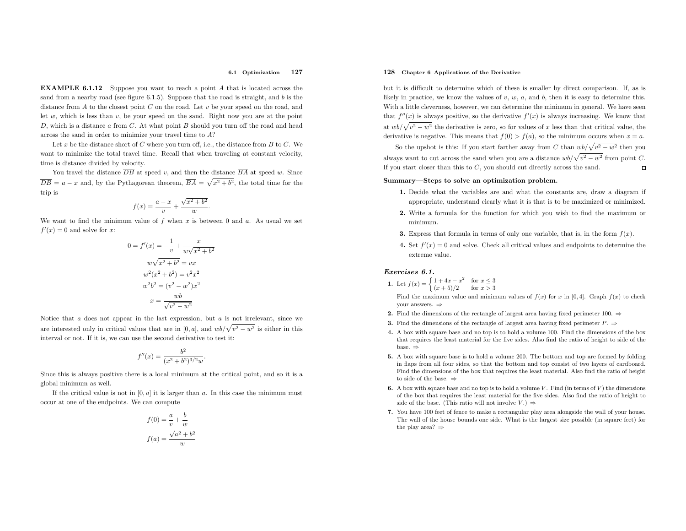**EXAMPLE 6.1.12** Suppose you want to reach a point  $A$  that is located across the sand from <sup>a</sup> nearby road (see figure 6.1.5). Suppose that the road is straight, and <sup>b</sup> is the distance from A to the closest point C on the road. Let v be your speed on the road, and let  $w$ , which is less than  $v$ , be your speed on the sand. Right now you are at the point  $D$ , which is a distance  $a$  from  $C$ . At what point  $B$  should you turn off the road and head across the sand in order to minimize your travel time to A?

Let x be the distance short of C where you turn off, i.e., the distance from B to C. We want to minimize the total travel time. Recall that when traveling at constant velocity, time is distance divided by velocity.

You travel the distance  $DB$  at speed v, and then the distance  $BA$  at speed w. Since  $\overline{DB} = a - x$  and, by the Pythagorean theorem,  $\overline{BA} = \sqrt{x^2 + b^2}$ , the total time for the trip is

$$
f(x) = \frac{a - x}{v} + \frac{\sqrt{x^2 + b^2}}{w}.
$$

We want to find the minimum value of  $f$  when  $x$  is between 0 and  $a$ . As usual we set  $f'(x) = 0$  and solve for x:

$$
0 = f'(x) = -\frac{1}{v} + \frac{x}{w\sqrt{x^2 + b^2}}
$$

$$
w\sqrt{x^2 + b^2} = vx
$$

$$
w^2(x^2 + b^2) = v^2x^2
$$

$$
w^2b^2 = (v^2 - w^2)x^2
$$

$$
x = \frac{wb}{\sqrt{v^2 - w^2}}
$$

Notice that  $a$  does not appear in the last expression, but  $a$  is not irrelevant, since we are interested only in critical values that are in [0, a], and  $wb/\sqrt{v^2 - w^2}$  is either in this interval or not. If it is, we can use the second derivative to test it:

$$
f''(x) = \frac{b^2}{(x^2 + b^2)^{3/2}w}.
$$

Since this is always positive there is <sup>a</sup> local minimum at the critical point, and so it is <sup>a</sup> <sup>g</sup>lobal minimum as well.

If the critical value is not in  $[0, a]$  it is larger than a. In this case the minimum must occur at one of the endpoints. We can compute

$$
f(0) = \frac{a}{v} + \frac{b}{w}
$$

$$
f(a) = \frac{\sqrt{a^2 + b^2}}{w}
$$

# 128 Chapter <sup>6</sup> Applications of the Derivative

but it is difficult to determine which of these is smaller by direct comparison. If, as is likely in practice, we know the values of  $v, w, a$ , and  $b$ , then it is easy to determine this. With a little cleverness, however, we can determine the minimum in general. We have seen that  $f''(x)$  is always positive, so the derivative  $f'(x)$  is always increasing. We know that at  $wb/\sqrt{v^2 - w^2}$  the derivative is zero, so for values of x less than that critical value, the derivative is negative. This means that  $f(0) > f(a)$ , so the minimum occurs when  $x = a$ .

So the upshot is this: If you start farther away from C than  $w b/\sqrt{v^2 - w^2}$  then you always want to cut across the sand when you are a distance  $wb/\sqrt{v^2 - w^2}$  from point C. If you start closer than this to  $C$ , you should cut directly across the sand.  $\Box$ 

## Summary—Steps to solve an optimization problem.

- 1. Decide what the variables are and what the constants are, draw <sup>a</sup> diagram if appropriate, understand clearly what it is that is to be maximized or minimized.
- 2. Write <sup>a</sup> formula for the function for which you wish to find the maximum or minimum.
- **3.** Express that formula in terms of only one variable, that is, in the form  $f(x)$ .
- **4.** Set  $f'(x) = 0$  and solve. Check all critical values and endpoints to determine the extreme value.

## Exercises 6.1.

1. Let 
$$
f(x) = \begin{cases} 1 + 4x - x^2 & \text{for } x \le 3 \\ (x+5)/2 & \text{for } x > 3 \end{cases}
$$

Find the maximum value and minimum values of  $f(x)$  for x in [0,4]. Graph  $f(x)$  to check your answers. ⇒

- 2. Find the dimensions of the rectangle of largest area having fixed perimeter 100.  $\Rightarrow$
- **3.** Find the dimensions of the rectangle of largest area having fixed perimeter  $P \Rightarrow$
- 4. <sup>A</sup> box with square base and no top is to hold <sup>a</sup> volume 100. Find the dimensions of the box that requires the least material for the five sides. Also find the ratio of height to side of the base.⇒
- 5. <sup>A</sup> box with square base is to hold <sup>a</sup> volume 200. The bottom and top are formed by folding in flaps from all four sides, so that the bottom and top consist of two layers of cardboard. Find the dimensions of the box that requires the least material. Also find the ratio of height to side of the base.  $\Rightarrow$
- **6.** A box with square base and no top is to hold a volume  $V$ . Find (in terms of  $V$ ) the dimensions of the box that requires the least material for the five sides. Also find the ratio of height toside of the base. (This ratio will not involve  $V$ .)  $\Rightarrow$
- 7. You have <sup>100</sup> feet of fence to make <sup>a</sup> rectangular <sup>p</sup>lay area alongside the wall of your house. The wall of the house bounds one side. What is the largest size possible (in square feet) for the play area?  $\Rightarrow$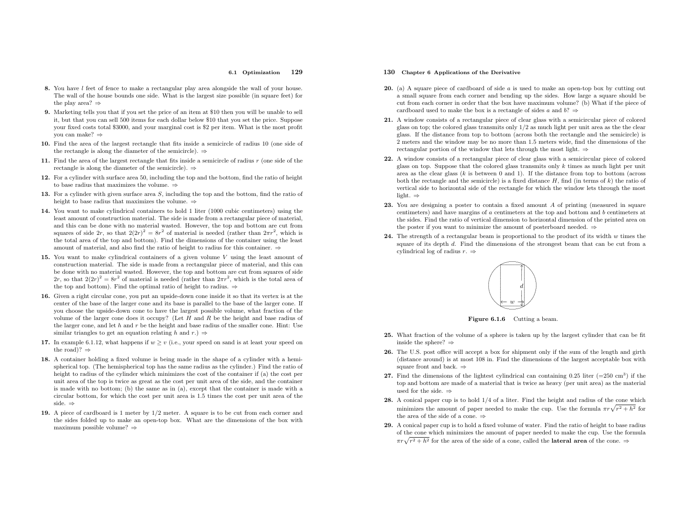- 8. You have <sup>l</sup> feet of fence to make <sup>a</sup> rectangular <sup>p</sup>lay area alongside the wall of your house. The wall of the house bounds one side. What is the largest size possible (in square feet) for the play area?  $\Rightarrow$
- 9. Marketing tells you that if you set the price of an item at \$10 then you will be unable to sell it, but that you can sell <sup>500</sup> items for each dollar below \$10 that you set the price. Suppose your fixed costs total \$3000, and your marginal cost is \$2 per item. What is the most profit you can make? ⇒
- 10. Find the area of the largest rectangle that fits inside <sup>a</sup> semicircle of radius <sup>10</sup> (one side of the rectangle is along the diameter of the semicircle).  $\Rightarrow$
- 11. Find the area of the largest rectangle that fits inside <sup>a</sup> semicircle of radius <sup>r</sup> (one side of the rectangle is along the diameter of the semicircle).  $\Rightarrow$
- 12. For <sup>a</sup> cylinder with surface area 50, including the top and the bottom, find the ratio of height to base radius that maximizes the volume.  $\Rightarrow$
- **13.** For a cylinder with given surface area  $S$ , including the top and the bottom, find the ratio of height to base radius that maximizes the volume.  $\Rightarrow$
- 14. You want to make cylindrical containers to hold <sup>1</sup> liter (1000 cubic centimeters) using the least amount of construction material. The side is made from <sup>a</sup> rectangular <sup>p</sup>iece of material, and this can be done with no material wasted. However, the top and bottom are cut fromsquares of side  $2r$ , so that  $2(2r)^2 = 8r^2$  of material is needed (rather than  $2\pi r^2$ , which is the total area of the top and bottom). Find the dimensions of the container using the least amount of material, and also find the ratio of height to radius for this container.  $\Rightarrow$
- 15. You want to make cylindrical containers of <sup>a</sup> <sup>g</sup>iven volume V using the least amount of construction material. The side is made from <sup>a</sup> rectangular <sup>p</sup>iece of material, and this can be done with no material wasted. However, the top and bottom are cut from squares of side 2r, so that  $2(2r)^2 = 8r^2$  of material is needed (rather than  $2\pi r^2$ , which is the total area of the top and bottom). Find the optimal ratio of height to radius.  $\Rightarrow$
- 16. Given <sup>a</sup> right circular cone, you put an upside-down cone inside it so that its vertex is at the center of the base of the larger cone and its base is parallel to the base of the larger cone. If you choose the upside-down cone to have the largest possible volume, what fraction of the volume of the larger cone does it occupy? (Let  $H$  and  $R$  be the height and base radius of the larger cone, and let  $h$  and  $r$  be the height and base radius of the smaller cone. Hint: Use similar triangles to get an equation relating h and  $r$ .)  $\Rightarrow$
- 17. In example 6.1.12, what happens if  $w \geq v$  (i.e., your speed on sand is at least your speed on the road)?  $\Rightarrow$
- 18. <sup>A</sup> container holding <sup>a</sup> fixed volume is being made in the shape of <sup>a</sup> cylinder with <sup>a</sup> hemispherical top. (The hemispherical top has the same radius as the cylinder.) Find the ratio of height to radius of the cylinder which minimizes the cost of the container if (a) the cost per unit area of the top is twice as great as the cost per unit area of the side, and the container is made with no bottom; (b) the same as in (a), except that the container is made with <sup>a</sup> circular bottom, for which the cost per unit area is 1.5 times the cost per unit area of the side.⇒
- 19. <sup>A</sup> <sup>p</sup>iece of cardboard is <sup>1</sup> meter by <sup>1</sup>/<sup>2</sup> meter. <sup>A</sup> square is to be cut from each corner and the sides folded up to make an open-top box. What are the dimensions of the box withmaximum possible volume? ⇒

# 130 Chapter <sup>6</sup> Applications of the Derivative

- 20. (a) <sup>A</sup> square <sup>p</sup>iece of cardboard of side <sup>a</sup> is used to make an open-top box by cutting out <sup>a</sup> small square from each corner and bending up the sides. How large <sup>a</sup> square should be cut from each corner in order that the box have maximum volume? (b) What if the <sup>p</sup>iece of cardboard used to make the box is a rectangle of sides a and  $b$ ?  $\Rightarrow$
- 21. <sup>A</sup> window consists of <sup>a</sup> rectangular <sup>p</sup>iece of clear <sup>g</sup>lass with <sup>a</sup> semicircular <sup>p</sup>iece of colored <sup>g</sup>lass on top; the colored <sup>g</sup>lass transmits only <sup>1</sup>/<sup>2</sup> as much light per unit area as the the clear <sup>g</sup>lass. If the distance from top to bottom (across both the rectangle and the semicircle) is <sup>2</sup> meters and the window may be no more than 1.5 meters wide, find the dimensions of the rectangular portion of the window that lets through the most light.  $\Rightarrow$
- 22. <sup>A</sup> window consists of <sup>a</sup> rectangular <sup>p</sup>iece of clear <sup>g</sup>lass with <sup>a</sup> semicircular <sup>p</sup>iece of coloredglass on top. Suppose that the colored glass transmits only  $k$  times as much light per unit area as the clear glass  $(k \text{ is between } 0 \text{ and } 1)$ . If the distance from top to bottom (across both the rectangle and the semicircle) is a fixed distance  $H$ , find (in terms of  $k$ ) the ratio of vertical side to horizontal side of the rectangle for which the window lets through the most light.⇒
- 23. You are designing <sup>a</sup> poster to contain <sup>a</sup> fixed amount A of printing (measured in square centimeters) and have margins of <sup>a</sup> centimeters at the top and bottom and <sup>b</sup> centimeters at the sides. Find the ratio of vertical dimension to horizontal dimension of the printed area onthe poster if you want to minimize the amount of posterboard needed.  $\Rightarrow$
- **24.** The strength of a rectangular beam is proportional to the product of its width  $w$  times the square of its depth <sup>d</sup>. Find the dimensions of the strongest beam that can be cut from <sup>a</sup> cylindrical log of radius  $r \Rightarrow$



Figure 6.1.6 Cutting <sup>a</sup> beam.

- 25. What fraction of the volume of <sup>a</sup> sphere is taken up by the largest cylinder that can be fit inside the sphere?  $\Rightarrow$
- 26. The U.S. post office will accept <sup>a</sup> box for shipment only if the sum of the length and <sup>g</sup>irth (distance around) is at most <sup>108</sup> in. Find the dimensions of the largest acceptable box withsquare front and back.  $\Rightarrow$
- **27.** Find the dimensions of the lightest cylindrical can containing  $0.25$  liter  $(=250 \text{ cm}^3)$  if the top and bottom are made of <sup>a</sup> material that is twice as heavy (per unit area) as the material used for the side.  $\Rightarrow$
- **28.** A conical paper cup is to hold  $1/4$  of a liter. Find the height and radius of the cone which minimizes the amount of paper needed to make the cup. Use the formula  $\pi r \sqrt{r^2 + h^2}$  for the area of the side of a cone.  $\Rightarrow$
- 29. <sup>A</sup> conical paper cup is to hold <sup>a</sup> fixed volume of water. Find the ratio of height to base radius of the cone which minimizes the amount of paper needed to make the cup. Use the formula $\pi r \sqrt{r^2 + h^2}$  for the area of the side of a cone, called the **lateral area** of the cone.  $\Rightarrow$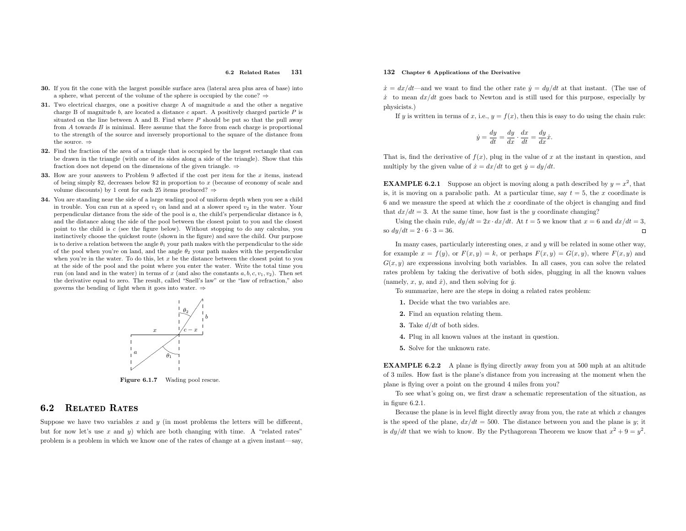- 30. If you fit the cone with the largest possible surface area (lateral area <sup>p</sup>lus area of base) intoa sphere, what percent of the volume of the sphere is occupied by the cone?  $\Rightarrow$
- 31. Two electrical charges, one <sup>a</sup> positive charge <sup>A</sup> of magnitude <sup>a</sup> and the other <sup>a</sup> negative charge B of magnitude  $b$ , are located a distance  $c$  apart. A positively charged particle  $P$  is situated on the line between A and B. Find where  $P$  should be put so that the pull away from A towards B is minimal. Here assume that the force from each charge is proportional to the strength of the source and inversely proportional to the square of the distance fromthe source.  $\Rightarrow$
- 32. Find the fraction of the area of <sup>a</sup> triangle that is occupied by the largest rectangle that can be drawn in the triangle (with one of its sides along <sup>a</sup> side of the triangle). Show that this fraction does not depend on the dimensions of the given triangle.  $\Rightarrow$
- 33. How are your answers to Problem 9 affected if the cost per item for the x items, instead of being simply \$2, decreases below \$2 in proportion to  $x$  (because of economy of scale and volume discounts) by 1 cent for each 25 items produced?  $\Rightarrow$
- 34. You are standing near the side of <sup>a</sup> large wading poo<sup>l</sup> of uniform depth when you see <sup>a</sup> childin trouble. You can run at a speed  $v_1$  on land and at a slower speed  $v_2$  in the water. Your perpendicular distance from the side of the pool is a, the child's perpendicular distance is  $b$ . and the distance along the side of the poo<sup>l</sup> between the closest point to you and the closest point to the child is  $c$  (see the figure below). Without stopping to do any calculus, you instinctively choose the quickest route (shown in the figure) and save the child. Our purpose is to derive a relation between the angle  $\theta_1$  your path makes with the perpendicular to the side of the pool when you're on land, and the angle  $\theta_2$  your path makes with the perpendicular when you're in the water. To do this, let  $x$  be the distance between the closest point to you at the side of the poo<sup>l</sup> and the point where you enter the water. Write the total time yourun (on land and in the water) in terms of x (and also the constants  $a, b, c, v_1, v_2$ ). Then set the derivative equa<sup>l</sup> to zero. The result, called "Snell's law" or the "law of refraction," alsogoverns the bending of light when it goes into water.  $\Rightarrow$



Figure 6.1.7 Wading poo<sup>l</sup> rescue.

#### 6.22 RELATED RATES

Suppose we have two variables  $x$  and  $y$  (in most problems the letters will be different, but for now let's use  $x$  and  $y$ ) which are both changing with time. A "related rates" problem is <sup>a</sup> problem in which we know one of the rates of change at <sup>a</sup> <sup>g</sup>iven instant—say,

# 132 Chapter <sup>6</sup> Applications of the Derivative

 $\dot{x} = dx/dt$ —and we want to find the other rate  $\dot{y} = dy/dt$  at that instant. (The use of  $\dot{x}$  to mean  $dx/dt$  goes back to Newton and is still used for this purpose, especially by physicists.)

If y is written in terms of x, i.e.,  $y = f(x)$ , then this is easy to do using the chain rule:

$$
\dot{y} = \frac{dy}{dt} = \frac{dy}{dx} \cdot \frac{dx}{dt} = \frac{dy}{dx}\dot{x}.
$$

That is, find the derivative of  $f(x)$ , plug in the value of x at the instant in question, and multiply by the given value of  $\dot{x} = dx/dt$  to get  $\dot{y} = dy/dt$ .

**EXAMPLE 6.2.1** Suppose an object is moving along a path described by  $y = x^2$ , that is, it is moving on a parabolic path. At a particular time, say  $t = 5$ , the x coordinate is  $6$  and we measure the speed at which the x coordinate of the object is changing and find that  $dx/dt = 3$ . At the same time, how fast is the y coordinate changing?

Using the chain rule,  $dy/dt = 2x \cdot dx/dt$ . At  $t = 5$  we know that  $x = 6$  and  $dx/dt = 3$ , so  $dy/dt = 2 \cdot 6 \cdot 3 = 36$ .

In many cases, particularly interesting ones,  $x$  and  $y$  will be related in some other way, for example  $x = f(y)$ , or  $F(x, y) = k$ , or perhaps  $F(x, y) = G(x, y)$ , where  $F(x, y)$  and  $G(x, y)$  are expressions involving both variables. In all cases, you can solve the related rates problem by taking the derivative of both sides, <sup>p</sup>lugging in all the known values (namely,  $x$ ,  $y$ , and  $\dot{x}$ ), and then solving for  $\dot{y}$ .

To summarize, here are the steps in doing <sup>a</sup> related rates problem:

- 1. Decide what the two variables are.
- 2. Find an equation relating them.
- **3.** Take  $d/dt$  of both sides.
- 4. Plug in all known values at the instant in question.
- 5. Solve for the unknown rate.

EXAMPLE 6.2.2 <sup>A</sup> <sup>p</sup>lane is flying directly away from you at <sup>500</sup> mp<sup>h</sup> at an altitude of <sup>3</sup> miles. How fast is the <sup>p</sup>lane's distance from you increasing at the moment when the <sup>p</sup>lane is flying over <sup>a</sup> point on the ground <sup>4</sup> miles from you?

To see what's going on, we first draw <sup>a</sup> schematic representation of the situation, as in figure 6.2.1.

Because the plane is in level flight directly away from you, the rate at which  $x$  changes is the speed of the plane,  $dx/dt = 500$ . The distance between you and the plane is y; it is  $dy/dt$  that we wish to know. By the Pythagorean Theorem we know that  $x^2 + 9 = y^2$ .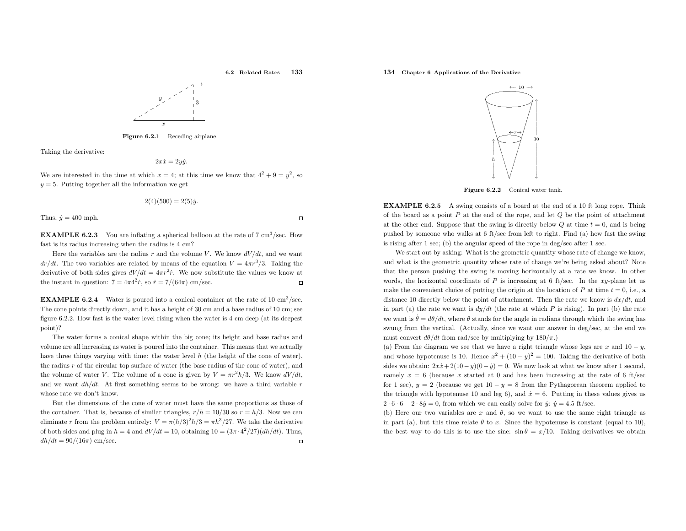$\Box$ 





 $_{x}$ 

Taking the derivative:

$$
2x\dot{x} = 2y\dot{y}.
$$

We are interested in the time at which  $x = 4$ ; at this time we know that  $4^2 + 9 = y^2$ , so  $y = 5$ . Putting together all the information we get

$$
2(4)(500) = 2(5)\dot{y}.
$$

Thus,  $\dot{y} = 400$  mph.

**EXAMPLE 6.2.3** You are inflating a spherical balloon at the rate of  $7 \text{ cm}^3/\text{sec}$ . How fast is its radius increasing when the radius is <sup>4</sup> cm?

Here the variables are the radius r and the volume V. We know  $dV/dt$ , and we want  $dr/dt$ . The two variables are related by means of the equation  $V = 4\pi r^3/3$ . Taking the derivative of both sides gives  $dV/dt = 4\pi r^2 \dot{r}$ . We now substitute the values we know at the instant in question:  $7 = 4\pi 4^2 \dot{r}$ , so  $\dot{r} = 7/(64\pi)$  cm/sec. the instant in question:  $7 = 4\pi 4^2 \dot{r}$ , so  $\dot{r} = 7/(64\pi)$  cm/sec.

**EXAMPLE 6.2.4** Water is poured into a conical container at the rate of 10  $\text{cm}^3/\text{sec}$ . The cone points directly down, and it has <sup>a</sup> height of <sup>30</sup> cm and <sup>a</sup> base radius of <sup>10</sup> cm; see figure 6.2.2. How fast is the water level rising when the water is <sup>4</sup> cm deep (at its deepest point)?

 The water forms <sup>a</sup> conical shape within the big cone; its height and base radius and volume are all increasing as water is poured into the container. This means that we actuallyhave three things varying with time: the water level  $h$  (the height of the cone of water), the radius  $r$  of the circular top surface of water (the base radius of the cone of water), and the volume of water V. The volume of a cone is given by  $V = \pi r^2 h/3$ . We know  $dV/dt$ , and we want  $dh/dt$ . At first something seems to be wrong: we have a third variable r whose rate we don't know.

But the dimensions of the cone of water must have the same proportions as those of the container. That is, because of similar triangles,  $r/h = 10/30$  so  $r = h/3$ . Now we can eliminate r from the problem entirely:  $V = \pi (h/3)^2 h/3 = \pi h^3/27$ . We take the derivative of both sides and plug in  $h = 4$  and  $dV/dt = 10$ , obtaining  $10 = (3\pi \cdot 4^2/27)(dh/dt)$ . Thus,  $dh/dt = 90/(16\pi)$  cm/sec.  $\Box$ 





Figure 6.2.2 Conical water tank.

EXAMPLE 6.2.5 <sup>A</sup> swing consists of <sup>a</sup> board at the end of <sup>a</sup> <sup>10</sup> ft long rope. Think of the board as a point  $P$  at the end of the rope, and let  $Q$  be the point of attachment at the other end. Suppose that the swing is directly below  $Q$  at time  $t = 0$ , and is being pushed by someone who walks at <sup>6</sup> ft/sec from left to right. Find (a) how fast the swing is rising after <sup>1</sup> sec; (b) the angular speed of the rope in deg/sec after <sup>1</sup> sec.

We start out by asking: What is the geometric quantity whose rate of change we know, and what is the geometric quantity whose rate of change we're being asked about? Note that the person pushing the swing is moving horizontally at <sup>a</sup> rate we know. In other words, the horizontal coordinate of  $P$  is increasing at 6 ft/sec. In the  $xy$ -plane let us make the convenient choice of putting the origin at the location of  $P$  at time  $t = 0$ , i.e., a distance 10 directly below the point of attachment. Then the rate we know is  $dx/dt$ , and in part (a) the rate we want is  $dy/dt$  (the rate at which P is rising). In part (b) the rate we want is  $\dot{\theta} = d\theta/dt$ , where  $\theta$  stands for the angle in radians through which the swing has swung from the vertical. (Actually, since we want our answer in deg/sec, at the end we must convert  $d\theta/dt$  from rad/sec by multiplying by  $180/\pi$ .)

(a) From the diagram we see that we have a right triangle whose legs are x and  $10 - y$ , and whose hypotenuse is 10. Hence  $x^2 + (10 - y)^2 = 100$ . Taking the derivative of both sides we obtain:  $2x\dot{x} + 2(10-y)(0-\dot{y}) = 0$ . We now look at what we know after 1 second, namely  $x = 6$  (because x started at 0 and has been increasing at the rate of 6 ft/sec for 1 sec),  $y = 2$  (because we get  $10 - y = 8$  from the Pythagorean theorem applied to the triangle with hypotenuse 10 and leg 6), and  $\dot{x} = 6$ . Putting in these values gives us  $2 \cdot 6 \cdot 6 - 2 \cdot 8y = 0$ , from which we can easily solve for  $\dot{y}$ :  $\dot{y} = 4.5$  ft/sec.

(b) Here our two variables are x and  $\theta$ , so we want to use the same right triangle as in part (a), but this time relate  $\theta$  to x. Since the hypotenuse is constant (equal to 10), the best way to do this is to use the sine:  $\sin \theta = x/10$ . Taking derivatives we obtain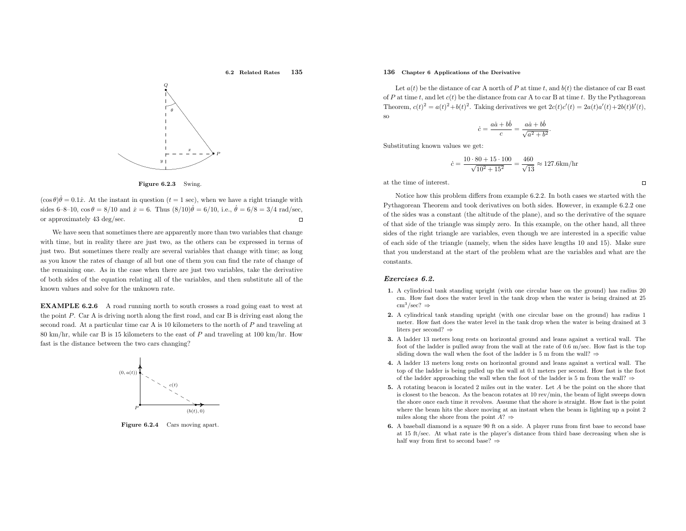

Figure 6.2.3 Swing.

 $(\cos \theta)\dot{\theta} = 0.1\dot{x}$ . At the instant in question  $(t = 1 \text{ sec})$ , when we have a right triangle with sides 6-8-10,  $\cos \theta = 8/10$  and  $\dot{x} = 6$ . Thus  $(8/10)\dot{\theta} = 6/10$ , i.e.,  $\dot{\theta} = 6/8 = 3/4$  rad/sec, or approximately <sup>43</sup> deg/sec.  $\Box$ 

We have seen that sometimes there are apparently more than two variables that change with time, but in reality there are just two, as the others can be expressed in terms of just two. But sometimes there really are several variables that change with time; as long as you know the rates of change of all but one of them you can find the rate of change of the remaining one. As in the case when there are just two variables, take the derivative of both sides of the equation relating all of the variables, and then substitute all of the known values and solve for the unknown rate.

EXAMPLE 6.2.6 <sup>A</sup> road running north to south crosses <sup>a</sup> road going east to west at the point <sup>P</sup>. Car <sup>A</sup> is driving north along the first road, and car <sup>B</sup> is driving east along the second road. At <sup>a</sup> particular time car <sup>A</sup> is <sup>10</sup> kilometers to the north of P and traveling at <sup>80</sup> km/hr, while car <sup>B</sup> is <sup>15</sup> kilometers to the east of P and traveling at <sup>100</sup> km/hr. Howfast is the distance between the two cars changing?



Figure 6.2.4 Cars moving apart.

# 136 Chapter <sup>6</sup> Applications of the Derivative

Let  $a(t)$  be the distance of car A north of P at time t, and  $b(t)$  the distance of car B east of P at time t, and let  $c(t)$  be the distance from car A to car B at time t. By the Pythagorean Theorem,  $c(t)^2 = a(t)^2 + b(t)^2$ . Taking derivatives we get  $2c(t)c'(t) = 2a(t)a'(t) + 2b(t)b'(t)$ , so

$$
\dot{c} = \frac{a\dot{a} + bb}{c} = \frac{a\dot{a} + bb}{\sqrt{a^2 + b^2}}
$$

Substituting known values we get:

$$
\dot{c} = \frac{10 \cdot 80 + 15 \cdot 100}{\sqrt{10^2 + 15^2}} = \frac{460}{\sqrt{13}} \approx 127.6 \text{km/hr}
$$

at the time of interest.

Notice how this problem differs from example 6.2.2. In both cases we started with the Pythagorean Theorem and took derivatives on both sides. However, in example 6.2.2 one of the sides was <sup>a</sup> constant (the altitude of the <sup>p</sup>lane), and so the derivative of the square of that side of the triangle was simply zero. In this example, on the other hand, all three sides of the right triangle are variables, even though we are interested in <sup>a</sup> specific value of each side of the triangle (namely, when the sides have lengths <sup>10</sup> and 15). Make sure that you understand at the start of the problem what are the variables and what are the constants.

## Exercises 6.2.

- 1. <sup>A</sup> cylindrical tank standing upright (with one circular base on the ground) has radius <sup>20</sup> cm. How fast does the water level in the tank drop when the water is being drained at <sup>25</sup> $\text{cm}^3/\text{sec}$ ? ⇒
- 2. <sup>A</sup> cylindrical tank standing upright (with one circular base on the ground) has radius <sup>1</sup> meter. How fast does the water level in the tank drop when the water is being drained at <sup>3</sup>liters per second? ⇒
- 3. <sup>A</sup> ladder <sup>13</sup> meters long rests on horizontal ground and leans against <sup>a</sup> vertical wall. The foot of the ladder is pulled away from the wall at the rate of 0.6 m/sec. How fast is the top sliding down the wall when the foot of the ladder is 5 m from the wall?  $\Rightarrow$
- 4. <sup>A</sup> ladder <sup>13</sup> meters long rests on horizontal ground and leans against <sup>a</sup> vertical wall. The top of the ladder is being pulled up the wall at <sup>0</sup>.<sup>1</sup> meters per second. How fast is the foot of the ladder approaching the wall when the foot of the ladder is 5 m from the wall?  $\Rightarrow$
- 5. <sup>A</sup> rotating beacon is located <sup>2</sup> miles out in the water. Let A be the point on the shore that is closest to the beacon. As the beacon rotates at <sup>10</sup> rev/min, the beam of light sweeps down the shore once each time it revolves. Assume that the shore is straight. How fast is the point where the beam hits the shore moving at an instant when the beam is lighting up a point 2 miles along the shore from the point  $A? \Rightarrow$
- 6. <sup>A</sup> baseball diamond is <sup>a</sup> square <sup>90</sup> ft on <sup>a</sup> side. <sup>A</sup> <sup>p</sup>layer runs from first base to second base at <sup>15</sup> ft/sec. At what rate is the <sup>p</sup>layer's distance from third base decreasing when she is half way from first to second base?  $\Rightarrow$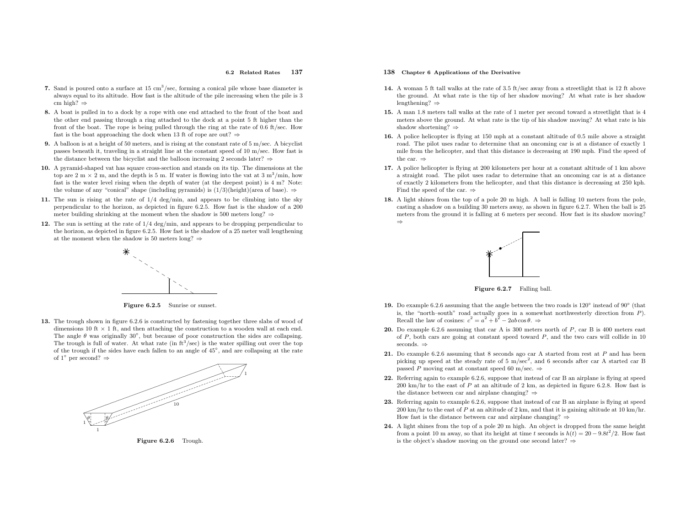1

- 7. Sand is poured onto a surface at  $15 \text{ cm}^3/\text{sec}$ , forming a conical pile whose base diameter is always equa<sup>l</sup> to its altitude. How fast is the altitude of the <sup>p</sup>ile increasing when the <sup>p</sup>ile is <sup>3</sup>cm high? <sup>⇒</sup>
- 8. <sup>A</sup> boat is pulled in to <sup>a</sup> dock by <sup>a</sup> rope with one end attached to the front of the boat and the other end passing through <sup>a</sup> ring attached to the dock at <sup>a</sup> point <sup>5</sup> ft higher than the front of the boat. The rope is being pulled through the ring at the rate of 0.6 ft/sec. Howfast is the boat approaching the dock when 13 ft of rope are out?  $\Rightarrow$
- 9. <sup>A</sup> balloon is at <sup>a</sup> height of <sup>50</sup> meters, and is rising at the constant rate of <sup>5</sup> m/sec. <sup>A</sup> bicyclist passes beneath it, traveling in <sup>a</sup> straight line at the constant speed of <sup>10</sup> m/sec. How fast is the distance between the bicyclist and the balloon increasing 2 seconds later?  $\Rightarrow$
- 10. <sup>A</sup> pyramid-shaped vat has square cross-section and stands on its tip. The dimensions at the top are  $2 \text{ m} \times 2 \text{ m}$ , and the depth is 5 m. If water is flowing into the vat at  $3 \text{ m}^3/\text{min}$ , how fast is the water level rising when the depth of water (at the deepest point) is <sup>4</sup> m? Note: the volume of any "conical" shape (including pyramids) is  $(1/3)(\text{height})(\text{area of base}). \Rightarrow$
- 11. The sun is rising at the rate of <sup>1</sup>/<sup>4</sup> deg/min, and appears to be climbing into the sky perpendicular to the horizon, as depicted in figure 6.2.5. How fast is the shadow of <sup>a</sup> <sup>200</sup>meter building shrinking at the moment when the shadow is 500 meters long?  $\Rightarrow$
- 12. The sun is setting at the rate of <sup>1</sup>/<sup>4</sup> deg/min, and appears to be dropping perpendicular to the horizon, as depicted in figure 6.2.5. How fast is the shadow of <sup>a</sup> <sup>25</sup> meter wall lengtheningat the moment when the shadow is 50 meters long?  $\Rightarrow$



Figure 6.2.5 Sunrise or sunset.

13. The trough shown in figure 6.2.6 is constructed by fastening together three slabs of wood of dimensions 10 ft  $\times$  1 ft, and then attaching the construction to a wooden wall at each end. The angle  $\theta$  was originally 30°, but because of poor construction the sides are collapsing. The trough is full of water. At what rate (in  $\text{ft}^3/\text{sec}$ ) is the water spilling out over the top of the trough if the sides have each fallen to an angle of <sup>45</sup>◦, and are collapsing at the rate of 1 $\degree$  per second?  $\Rightarrow$ 



Figure 6.2.6 Trough.

# 138 Chapter <sup>6</sup> Applications of the Derivative

- 14. <sup>A</sup> woman <sup>5</sup> ft tall walks at the rate of 3.5 ft/sec away from <sup>a</sup> streetlight that is <sup>12</sup> ft above the ground. At what rate is the tip of her shadow moving? At what rate is her shadowlengthening? <sup>⇒</sup>
- 15. <sup>A</sup> man 1.8 meters tall walks at the rate of <sup>1</sup> meter per second toward <sup>a</sup> streetlight that is <sup>4</sup> meters above the ground. At what rate is the tip of his shadow moving? At what rate is his shadow shortening? <sup>⇒</sup>
- 16. <sup>A</sup> police helicopter is flying at <sup>150</sup> mp<sup>h</sup> at <sup>a</sup> constant altitude of 0.5 mile above <sup>a</sup> straight road. The <sup>p</sup>ilot uses radar to determine that an oncoming car is at <sup>a</sup> distance of exactly <sup>1</sup> mile from the helicopter, and that this distance is decreasing at <sup>190</sup> mph. Find the speed of the car. <sup>⇒</sup>
- 17. <sup>A</sup> police helicopter is flying at <sup>200</sup> kilometers per hour at <sup>a</sup> constant altitude of <sup>1</sup> km above <sup>a</sup> straight road. The <sup>p</sup>ilot uses radar to determine that an oncoming car is at <sup>a</sup> distance of exactly <sup>2</sup> kilometers from the helicopter, and that this distance is decreasing at <sup>250</sup> kph. Find the speed of the car.  $\Rightarrow$
- 18. <sup>A</sup> light shines from the top of <sup>a</sup> pole <sup>20</sup> <sup>m</sup> high. <sup>A</sup> ball is falling <sup>10</sup> meters from the pole, casting <sup>a</sup> shadow on <sup>a</sup> building <sup>30</sup> meters away, as shown in figure 6.2.7. When the ball is <sup>25</sup> meters from the ground it is falling at <sup>6</sup> meters per second. How fast is its shadow moving? ⇒



Figure 6.2.7 Falling ball.

- **19.** Do example 6.2.6 assuming that the angle between the two roads is  $120°$  instead of  $90°$  (that is, the "north–south" road actually goes in a somewhat northwesterly direction from  $P$ ). Recall the law of cosines:  $c^2 = a^2 + b^2 - 2ab \cos \theta$ .  $\Rightarrow$
- 20. Do example 6.2.6 assuming that car <sup>A</sup> is <sup>300</sup> meters north of <sup>P</sup>, car <sup>B</sup> is <sup>400</sup> meters east of  $P$ , both cars are going at constant speed toward  $P$ , and the two cars will collide in 10 seconds. <sup>⇒</sup>
- **21.** Do example 6.2.6 assuming that 8 seconds ago car A started from rest at  $P$  and has been picking up speed at the steady rate of  $5 \text{ m/sec}^2$ , and 6 seconds after car A started car B passed P moving east at constant speed 60 m/sec.  $\Rightarrow$
- 22. Referring again to example 6.2.6, suppose that instead of car <sup>B</sup> an airplane is flying at speed $200 \text{ km/hr}$  to the east of P at an altitude of 2 km, as depicted in figure 6.2.8. How fast is the distance between car and airplane changing? <sup>⇒</sup>
- 23. Referring again to example 6.2.6, suppose that instead of car <sup>B</sup> an airplane is flying at speed <sup>200</sup> km/hr to the east of <sup>P</sup> at an altitude of <sup>2</sup> km, and that it is gaining altitude at <sup>10</sup> km/hr. How fast is the distance between car and airplane changing?  $\Rightarrow$
- 24. <sup>A</sup> light shines from the top of <sup>a</sup> pole <sup>20</sup> <sup>m</sup> high. An object is dropped from the same height from a point 10 m away, so that its height at time t seconds is  $h(t) = 20 - 9.8t^2/2$ . How fast is the object's shadow moving on the ground one second later? <sup>⇒</sup>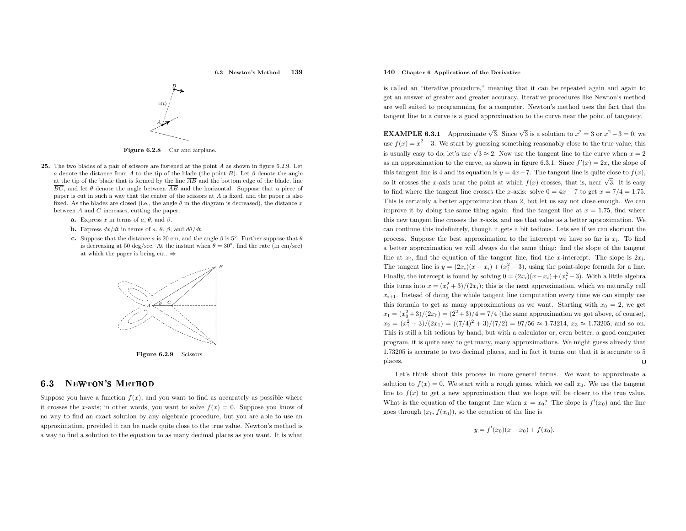6.3 Newton's Method<sup>139</sup>



Figure 6.2.8 Car and airplane.

- 25. The two blades of a pair of scissors are fastened at the point A as shown in figure 6.2.9. Let a denote the distance from A to the tip of the blade (the point B). Let β denote the angle at the tip of the blade that is formed by the line  $AB$  and the bottom edge of the blade, line  $BC$ , and let  $\theta$  denote the angle between  $AB$  and the horizontal. Suppose that a piece of paper is cut in such <sup>a</sup> way that the center of the scissors at A is fixed, and the paper is also fixed. As the blades are closed (i.e., the angle  $\theta$  in the diagram is decreased), the distance x between  $A$  and  $C$  increases, cutting the paper.
	- **a.** Express x in terms of a,  $\theta$ , and  $\beta$ .
	- **b.** Express  $dx/dt$  in terms of a,  $\theta$ ,  $\beta$ , and  $d\theta/dt$ .
	- **c.** Suppose that the distance a is 20 cm, and the angle  $\beta$  is  $5^{\circ}$ . Further suppose that  $\theta$ is decreasing at 50 deg/sec. At the instant when  $\theta = 30^{\circ}$ , find the rate (in cm/sec) at which the paper is being cut.  $\Rightarrow$



Figure 6.2.9 Scissors.

#### 6.3Newton's Method

Suppose you have a function  $f(x)$ , and you want to find as accurately as possible where it crosses the x-axis; in other words, you want to solve  $f(x) = 0$ . Suppose you know of no way to find an exact solution by any algebraic procedure, but you are able to use an approximation, provided it can be made quite close to the true value. Newton's method is <sup>a</sup> way to find <sup>a</sup> solution to the equation to as many decimal <sup>p</sup>laces as you want. It is what

# 140 Chapter <sup>6</sup> Applications of the Derivative

is called an "iterative procedure," meaning that it can be repeated again and again to get an answer of greater and greater accuracy. Iterative procedures like Newton's method are well suited to programming for <sup>a</sup> computer. Newton's method uses the fact that the tangent line to <sup>a</sup> curve is <sup>a</sup> good approximation to the curve near the point of tangency.

**EXAMPLE 6.3.1** Approximate  $\sqrt{3}$ . Since  $\sqrt{3}$  is a solution to  $x^2 = 3$  or  $x^2 - 3 = 0$ , we use  $f(x) = x^2 - 3$ . We start by guessing something reasonably close to the true value; this is usually easy to do; let's use  $\sqrt{3} \approx 2$ . Now use the tangent line to the curve when  $x = 2$ as an approximation to the curve, as shown in figure 6.3.1. Since  $f'(x) = 2x$ , the slope of this tangent line is 4 and its equation is  $y = 4x-7$ . The tangent line is quite close to  $f(x)$ , so it crosses the x-axis near the point at which  $f(x)$  crosses, that is, near  $\sqrt{3}$ . It is easy to find where the tangent line crosses the x-axis: solve  $0 = 4x - 7$  to get  $x = 7/4 = 1.75$ . This is certainly <sup>a</sup> better approximation than 2, but let us say not close enough. We canimprove it by doing the same thing again: find the tangent line at  $x = 1.75$ , find where this new tangent line crosses the <sup>x</sup>-axis, and use that value as <sup>a</sup> better approximation. We can continue this indefinitely, though it gets <sup>a</sup> bit tedious. Lets see if we can shortcut the process. Suppose the best approximation to the intercept we have so far is  $x_i$ . To find <sup>a</sup> better approximation we will always do the same thing: find the slope of the tangent line at  $x_i$ , find the equation of the tangent line, find the x-intercept. The slope is  $2x_i$ . The tangent line is  $y = (2x_i)(x - x_i) + (x_i^2 - 3)$ , using the point-slope formula for a line. Finally, the intercept is found by solving  $0 = (2x_i)(x - x_i) + (x_i^2 - 3)$ . With a little algebra this turns into  $x = (x_i^2 + 3)/(2x_i)$ ; this is the next approximation, which we naturally call  $x_{i+1}$ . Instead of doing the whole tangent line computation every time we can simply use this formula to get as many approximations as we want. Starting with  $x_0 = 2$ , we get  $x_1 = (x_0^2 + 3)/(2x_0) = (2^2 + 3)/4 = 7/4$  (the same approximation we got above, of course),  $x_2 = (x_1^2 + 3)/(2x_1) = ((7/4)^2 + 3)/(7/2) = 97/56 \approx 1.73214, x_3 \approx 1.73205,$  and so on. This is still <sup>a</sup> bit tedious by hand, but with <sup>a</sup> calculator or, even better, <sup>a</sup> good computer program, it is quite easy to get many, many approximations. We might guess already that <sup>1</sup>.<sup>73205</sup> is accurate to two decimal <sup>p</sup>laces, and in fact it turns out that it is accurate to <sup>5</sup> places. $\Box$ 

Let's think about this process in more general terms. We want to approximate a solution to  $f(x) = 0$ . We start with a rough guess, which we call  $x<sub>0</sub>$ . We use the tangent line to  $f(x)$  to get a new approximation that we hope will be closer to the true value. What is the equation of the tangent line when  $x = x_0$ ? The slope is  $f'(x_0)$  and the line goes through  $(x_0, f(x_0))$ , so the equation of the line is

 $y = f'(x_0)(x - x_0) + f(x_0).$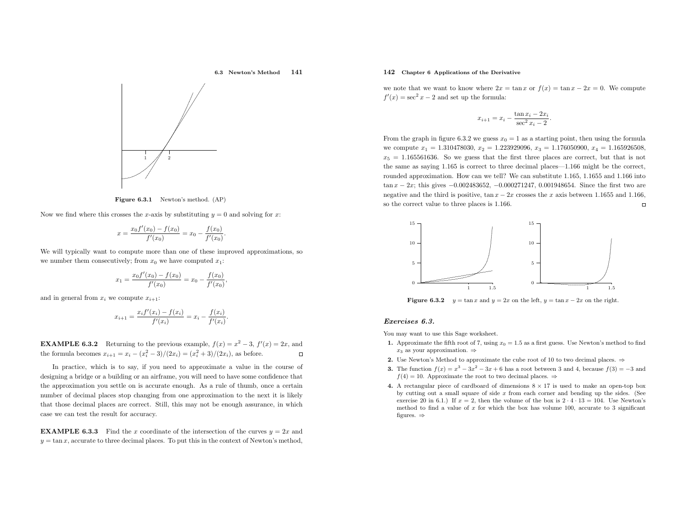

<sup>141</sup>

Figure 6.3.1 Newton's method. (AP)

Now we find where this crosses the x-axis by substituting  $y = 0$  and solving for x:

$$
x = \frac{x_0 f'(x_0) - f(x_0)}{f'(x_0)} = x_0 - \frac{f(x_0)}{f'(x_0)}.
$$

We will typically want to compute more than one of these improved approximations, so we number them consecutively; from  $x_0$  we have computed  $x_1$ :

$$
x_1 = \frac{x_0 f'(x_0) - f(x_0)}{f'(x_0)} = x_0 - \frac{f(x_0)}{f'(x_0)},
$$

and in general from  $x_i$  we compute  $x_{i+1}$ :

$$
x_{i+1} = \frac{x_i f'(x_i) - f(x_i)}{f'(x_i)} = x_i - \frac{f(x_i)}{f'(x_i)}.
$$

**EXAMPLE 6.3.2** Returning to the previous example,  $f(x) = x^2 - 3$ ,  $f'(x) = 2x$ , and the formula becomes  $x_{i+1} = x_i - (x_i^2 - 3)/(2x_i) = (x_i^2 + 3)/(2x_i)$ , as before.

In practice, which is to say, if you need to approximate <sup>a</sup> value in the course of designing <sup>a</sup> bridge or <sup>a</sup> building or an airframe, you will need to have some confidence that the approximation you settle on is accurate enough. As <sup>a</sup> rule of thumb, once <sup>a</sup> certain number of decimal <sup>p</sup>laces stop changing from one approximation to the next it is likely that those decimal <sup>p</sup>laces are correct. Still, this may not be enoug<sup>h</sup> assurance, in whichcase we can test the result for accuracy.

**EXAMPLE 6.3.3** Find the x coordinate of the intersection of the curves  $y = 2x$  and  $y = \tan x$ , accurate to three decimal places. To put this in the context of Newton's method,

# 142 Chapter <sup>6</sup> Applications of the Derivative

we note that we want to know where  $2x = \tan x$  or  $f(x) = \tan x - 2x = 0$ . We compute  $f'(x) = \sec^2 x - 2$  and set up the formula:

$$
x_{i+1} = x_i - \frac{\tan x_i - 2x_i}{\sec^2 x_i - 2}.
$$

From the graph in figure 6.3.2 we guess  $x_0 = 1$  as a starting point, then using the formula we compute  $x_1 = 1.310478030$ ,  $x_2 = 1.223929096$ ,  $x_3 = 1.176050900$ ,  $x_4 = 1.165926508$ ,  $x_5 = 1.165561636$ . So we guess that the first three places are correct, but that is not the same as saying <sup>1</sup>.<sup>165</sup> is correct to three decimal <sup>p</sup>laces—1.<sup>166</sup> might be the correct, rounded approximation. How can we tell? We can substitute <sup>1</sup>.165, <sup>1</sup>.<sup>1655</sup> and <sup>1</sup>.<sup>166</sup> into  $\tan x - 2x$ ; this gives −0.002483652, −0.000271247, 0.001948654. Since the first two are negative and the third is positive,  $\tan x - 2x$  crosses the x axis between 1.1655 and 1.166, so the correct value to three <sup>p</sup>laces is <sup>1</sup>.166.



Figure 6.3.2  $y = \tan x$  and  $y = 2x$  on the left,  $y = \tan x - 2x$  on the right.

## Exercises 6.3.

You may want to use this Sage worksheet.

- 1. Approximate the fifth root of 7, using  $x_0 = 1.5$  as a first guess. Use Newton's method to find  $x_3$  as your approximation.  $\Rightarrow$
- 2. Use Newton's Method to approximate the cube root of 10 to two decimal places.  $\Rightarrow$
- 3. The function  $f(x) = x^3 3x^2 3x + 6$  has a root between 3 and 4, because  $f(3) = -3$  and  $f(4) = 10$ . Approximate the root to two decimal places.  $\Rightarrow$
- 4. A rectangular piece of cardboard of dimensions  $8 \times 17$  is used to make an open-top box by cutting out a small square of side  $x$  from each corner and bending up the sides. (See exercise 20 in 6.1.) If  $x = 2$ , then the volume of the box is  $2 \cdot 4 \cdot 13 = 104$ . Use Newton's method to find a value of x for which the box has volume 100, accurate to 3 significant figures. <sup>⇒</sup>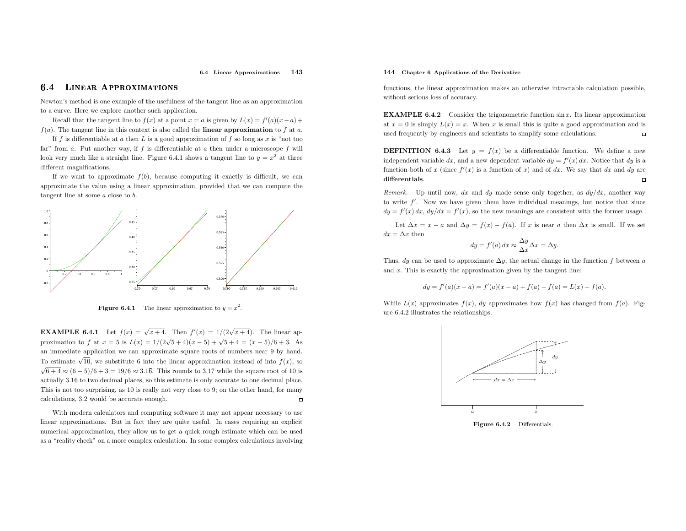#### 6.4 Linear Approximations <sup>143</sup>

#### 6.4Linear Approximations

Newton's method is one example of the usefulness of the tangent line as an approximationto <sup>a</sup> curve. Here we explore another such application.

Recall that the tangent line to  $f(x)$  at a point  $x = a$  is given by  $L(x) = f'(a)(x-a) +$  $f(a)$ . The tangent line in this context is also called the **linear approximation** to  $f$  at  $a$ .

If f is differentiable at a then L is a good approximation of f so long as x is "not too far" from a. Put another way, if f is differentiable at a then under a microscope f will look very much like a straight line. Figure 6.4.1 shows a tangent line to  $y = x^2$  at three different magnifications.

If we want to approximate  $f(b)$ , because computing it exactly is difficult, we can approximate the value using <sup>a</sup> linear approximation, provided that we can compute the tangent line at some <sup>a</sup> close to <sup>b</sup>.



**Figure 6.4.1** The linear approximation to  $y = x^2$ .

**EXAMPLE 6.4.1** Let  $f(x) = \sqrt{x+4}$ . Then  $f'(x) = 1/(2\sqrt{x+4})$ . The linear approximation to f at  $x = 5$  is  $L(x) = 1/(2\sqrt{5+4})(x-5) + \sqrt{5+4} = (x-5)/6 + 3$ . As an immediate application we can approximate square roots of numbers near <sup>9</sup> by hand. To estimate  $\sqrt{10}$ , we substitute 6 into the linear approximation instead of into  $f(x)$ , so  $\sqrt{6+4} \approx (6-5)/6 + 3 = 19/6 \approx 3.1\overline{6}$ . This rounds to 3.17 while the square root of 10 is actually <sup>3</sup>.<sup>16</sup> to two decimal <sup>p</sup>laces, so this estimate is only accurate to one decimal <sup>p</sup>lace. This is not too surprising, as <sup>10</sup> is really not very close to 9; on the other hand, for many $\Box$ calculations, <sup>3</sup>.<sup>2</sup> would be accurate enough.

With modern calculators and computing software it may not appear necessary to use linear approximations. But in fact they are quite useful. In cases requiring an explicit numerical approximation, they allow us to get <sup>a</sup> quick roug<sup>h</sup> estimate which can be usedas <sup>a</sup> "reality check" on <sup>a</sup> more complex calculation. In some complex calculations involving

# 144 Chapter <sup>6</sup> Applications of the Derivative

functions, the linear approximation makes an otherwise intractable calculation possible, without serious loss of accuracy.

**EXAMPLE 6.4.2** Consider the trigonometric function  $\sin x$ . Its linear approximation at  $x = 0$  is simply  $L(x) = x$ . When x is small this is quite a good approximation and is used frequently by engineers and scientists to simplify some calculations.

**DEFINITION 6.4.3** Let  $y = f(x)$  be a differentiable function. We define a new independent variable dx, and a new dependent variable  $dy = f'(x) dx$ . Notice that dy is a function both of x (since  $f'(x)$  is a function of x) and of dx. We say that dx and dy are differentials. $\Box$ 

Remark. Up until now,  $dx$  and  $dy$  made sense only together, as  $dy/dx$ , another way to write  $f'$ . Now we have given them have individual meanings, but notice that since  $dy = f'(x) dx$ ,  $dy/dx = f'(x)$ , so the new meanings are consistent with the former usage.

Let  $\Delta x = x - a$  and  $\Delta y = f(x) - f(a)$ . If x is near a then  $\Delta x$  is small. If we set  $dx = \Delta x$  then

$$
dy = f'(a) dx \approx \frac{\Delta y}{\Delta x} \Delta x = \Delta y.
$$

Thus, dy can be used to approximate  $\Delta y$ , the actual change in the function f between a and <sup>x</sup>. This is exactly the approximation <sup>g</sup>iven by the tangent line:

$$
dy = f'(a)(x - a) = f'(a)(x - a) + f(a) - f(a) = L(x) - f(a).
$$

While  $L(x)$  approximates  $f(x)$ , dy approximates how  $f(x)$  has changed from  $f(a)$ . Figure 6.4.2 illustrates the relationships.

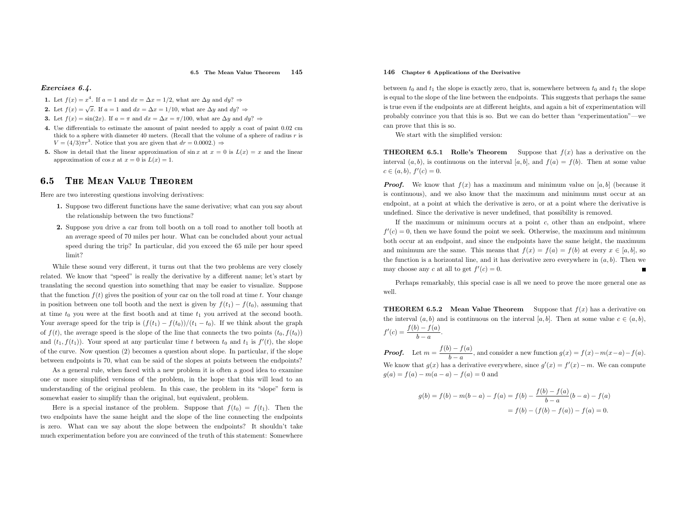## Exercises 6.4.

- 1. Let  $f(x) = x^4$ . If  $a = 1$  and  $dx = \Delta x = 1/2$ , what are  $\Delta y$  and  $dy$ ? ⇒
- **2.** Let  $f(x) = \sqrt{x}$ . If  $a = 1$  and  $dx = \Delta x = 1/10$ , what are  $\Delta y$  and  $dy$ ?  $\Rightarrow$
- **3.** Let  $f(x) = \sin(2x)$ . If  $a = \pi$  and  $dx = \Delta x = \pi/100$ , what are  $\Delta y$  and  $dy$ ?  $\Rightarrow$
- 4. Use differentials to estimate the amount of paint needed to apply <sup>a</sup> coat of paint 0.02 cmthick to a sphere with diameter 40 meters. (Recall that the volume of a sphere of radius  $r$  is  $V = (4/3)\pi r^3$ . Notice that you are given that  $dr = 0.0002$ .)  $\Rightarrow$
- 5. Show in detail that the linear approximation of  $\sin x$  at  $x = 0$  is  $L(x) = x$  and the linear approximation of  $\cos x$  at  $x = 0$  is  $L(x) = 1$ .

#### 6.55 THE MEAN VALUE THEOREM

Here are two interesting questions involving derivatives:

- 1. Suppose two different functions have the same derivative; what can you say about the relationship between the two functions?
- 2. Suppose you drive <sup>a</sup> car from toll booth on <sup>a</sup> toll road to another toll booth at an average speed of <sup>70</sup> miles per hour. What can be concluded about your actual speed during the trip? In particular, did you exceed the <sup>65</sup> mile per hour speedlimit?

While these sound very different, it turns out that the two problems are very closely related. We know that "speed" is really the derivative by <sup>a</sup> different name; let's start by translating the second question into something that may be easier to visualize. Suppose that the function  $f(t)$  gives the position of your car on the toll road at time t. Your change in position between one toll booth and the next is given by  $f(t_1) - f(t_0)$ , assuming that at time  $t_0$  you were at the first booth and at time  $t_1$  you arrived at the second booth. Your average speed for the trip is  $\frac{f(t_1) - f(t_0)}{t_1 - t_0}$ . If we think about the graph of  $f(t)$ , the average speed is the slope of the line that connects the two points  $(t_0, f(t_0))$ and  $(t_1, f(t_1))$ . Your speed at any particular time t between  $t_0$  and  $t_1$  is  $f'(t)$ , the slope of the curve. Now question (2) becomes <sup>a</sup> question about slope. In particular, if the slope between endpoints is 70, what can be said of the slopes at points between the endpoints?

As <sup>a</sup> genera<sup>l</sup> rule, when faced with <sup>a</sup> new problem it is often <sup>a</sup> good idea to examine one or more simplified versions of the problem, in the hope that this will lead to an understanding of the original problem. In this case, the problem in its "slope" form is somewhat easier to simplify than the original, but equivalent, problem.

Here is a special instance of the problem. Suppose that  $f(t_0) = f(t_1)$ . Then the two endpoints have the same height and the slope of the line connecting the endpoints is zero. What can we say about the slope between the endpoints? It shouldn't take much experimentation before you are convinced of the truth of this statement: Somewhere

# 146 Chapter <sup>6</sup> Applications of the Derivative

between  $t_0$  and  $t_1$  the slope is exactly zero, that is, somewhere between  $t_0$  and  $t_1$  the slope is equa<sup>l</sup> to the slope of the line between the endpoints. This suggests that perhaps the same is true even if the endpoints are at different heights, and again <sup>a</sup> bit of experimentation will probably convince you that this is so. But we can do better than "experimentation"—we can prove that this is so.

We start with the simplified version:

**THEOREM 6.5.1 Rolle's Theorem** Suppose that  $f(x)$  has a derivative on the interval  $(a, b)$ , is continuous on the interval  $[a, b]$ , and  $f(a) = f(b)$ . Then at some value  $c \in (a, b), f'(c) = 0.$ 

**Proof.** We know that  $f(x)$  has a maximum and minimum value on  $[a, b]$  (because it is continuous), and we also know that the maximum and minimum must occur at an endpoint, at <sup>a</sup> point at which the derivative is zero, or at <sup>a</sup> point where the derivative is undefined. Since the derivative is never undefined, that possibility is removed.

If the maximum or minimum occurs at a point  $c$ , other than an endpoint, where  $f'(c) = 0$ , then we have found the point we seek. Otherwise, the maximum and minimum both occur at an endpoint, and since the endpoints have the same height, the maximumand minimum are the same. This means that  $f(x) = f(a) = f(b)$  at every  $x \in [a, b]$ , so the function is a horizontal line, and it has derivative zero everywhere in  $(a, b)$ . Then we may choose any c at all to get  $f'(c) = 0$ .

Perhaps remarkably, this special case is all we need to prove the more genera<sup>l</sup> one as well.

**THEOREM 6.5.2** Mean Value Theorem Suppose that  $f(x)$  has a derivative on the interval  $f(x)$  and  $f(x)$ the interval  $(a, b)$  and is continuous on the interval  $[a, b]$ . Then at some value  $c \in (a, b)$ , f  $'(c) = \frac{f(b) - f(a)}{b - a}.$ 

**Proof.** Let  $m =$ We know that  $g(x)$  has a derivative everywhere, since  $g'(x) = f'(x) - m$ . We can compute  $\frac{f(b) - f(a)}{b - a}$ , and consider a new function  $g(x) = f(x) - m(x-a) - f(a)$ .  $g(a) = f(a) - m(a - a) - f(a) = 0$  and

$$
g(b) = f(b) - m(b - a) - f(a) = f(b) - \frac{f(b) - f(a)}{b - a}(b - a) - f(a)
$$

$$
= f(b) - (f(b) - f(a)) - f(a) = 0.
$$